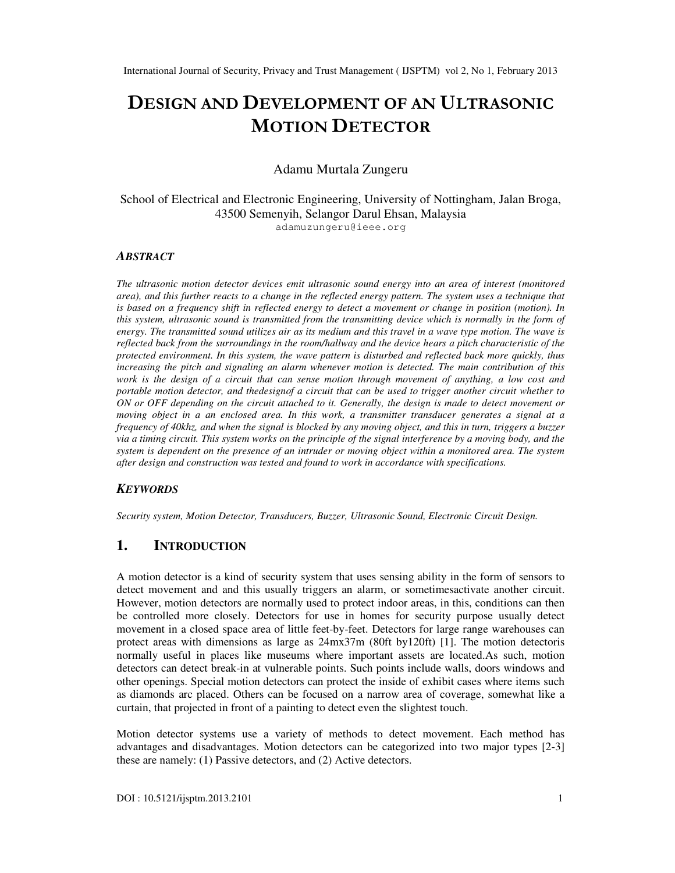# DESIGN AND DEVELOPMENT OF AN ULTRASONIC MOTION DETECTOR

# Adamu Murtala Zungeru

School of Electrical and Electronic Engineering, University of Nottingham, Jalan Broga, 43500 Semenyih, Selangor Darul Ehsan, Malaysia adamuzungeru@ieee.org

#### *ABSTRACT*

*The ultrasonic motion detector devices emit ultrasonic sound energy into an area of interest (monitored*  area), and this further reacts to a change in the reflected energy pattern. The system uses a technique that *is based on a frequency shift in reflected energy to detect a movement or change in position (motion). In this system, ultrasonic sound is transmitted from the transmitting device which is normally in the form of energy. The transmitted sound utilizes air as its medium and this travel in a wave type motion. The wave is reflected back from the surroundings in the room/hallway and the device hears a pitch characteristic of the protected environment. In this system, the wave pattern is disturbed and reflected back more quickly, thus increasing the pitch and signaling an alarm whenever motion is detected. The main contribution of this work is the design of a circuit that can sense motion through movement of anything, a low cost and portable motion detector, and thedesignof a circuit that can be used to trigger another circuit whether to ON or OFF depending on the circuit attached to it. Generally, the design is made to detect movement or moving object in a an enclosed area. In this work, a transmitter transducer generates a signal at a frequency of 40khz, and when the signal is blocked by any moving object, and this in turn, triggers a buzzer via a timing circuit. This system works on the principle of the signal interference by a moving body, and the system is dependent on the presence of an intruder or moving object within a monitored area. The system after design and construction was tested and found to work in accordance with specifications.* 

#### *KEYWORDS*

*Security system, Motion Detector, Transducers, Buzzer, Ultrasonic Sound, Electronic Circuit Design.* 

# **1. INTRODUCTION**

A motion detector is a kind of security system that uses sensing ability in the form of sensors to detect movement and and this usually triggers an alarm, or sometimesactivate another circuit. However, motion detectors are normally used to protect indoor areas, in this, conditions can then be controlled more closely. Detectors for use in homes for security purpose usually detect movement in a closed space area of little feet-by-feet. Detectors for large range warehouses can protect areas with dimensions as large as 24mx37m (80ft by120ft) [1]. The motion detectoris normally useful in places like museums where important assets are located.As such, motion detectors can detect break-in at vulnerable points. Such points include walls, doors windows and other openings. Special motion detectors can protect the inside of exhibit cases where items such as diamonds arc placed. Others can be focused on a narrow area of coverage, somewhat like a curtain, that projected in front of a painting to detect even the slightest touch.

Motion detector systems use a variety of methods to detect movement. Each method has advantages and disadvantages. Motion detectors can be categorized into two major types [2-3] these are namely: (1) Passive detectors, and (2) Active detectors.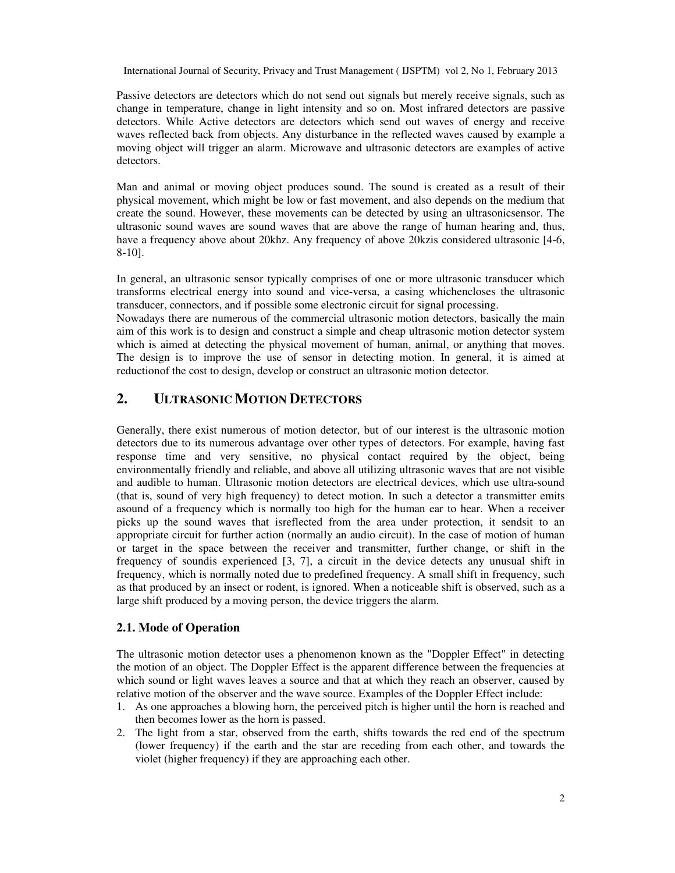Passive detectors are detectors which do not send out signals but merely receive signals, such as change in temperature, change in light intensity and so on. Most infrared detectors are passive detectors. While Active detectors are detectors which send out waves of energy and receive waves reflected back from objects. Any disturbance in the reflected waves caused by example a moving object will trigger an alarm. Microwave and ultrasonic detectors are examples of active detectors.

Man and animal or moving object produces sound. The sound is created as a result of their physical movement, which might be low or fast movement, and also depends on the medium that create the sound. However, these movements can be detected by using an ultrasonicsensor. The ultrasonic sound waves are sound waves that are above the range of human hearing and, thus, have a frequency above about 20khz. Any frequency of above 20 kz is considered ultrasonic [4-6, 8-10].

In general, an ultrasonic sensor typically comprises of one or more ultrasonic transducer which transforms electrical energy into sound and vice-versa, a casing whichencloses the ultrasonic transducer, connectors, and if possible some electronic circuit for signal processing.

Nowadays there are numerous of the commercial ultrasonic motion detectors, basically the main aim of this work is to design and construct a simple and cheap ultrasonic motion detector system which is aimed at detecting the physical movement of human, animal, or anything that moves. The design is to improve the use of sensor in detecting motion. In general, it is aimed at reductionof the cost to design, develop or construct an ultrasonic motion detector.

# **2. ULTRASONIC MOTION DETECTORS**

Generally, there exist numerous of motion detector, but of our interest is the ultrasonic motion detectors due to its numerous advantage over other types of detectors. For example, having fast response time and very sensitive, no physical contact required by the object, being environmentally friendly and reliable, and above all utilizing ultrasonic waves that are not visible and audible to human. Ultrasonic motion detectors are electrical devices, which use ultra-sound (that is, sound of very high frequency) to detect motion. In such a detector a transmitter emits asound of a frequency which is normally too high for the human ear to hear. When a receiver picks up the sound waves that isreflected from the area under protection, it sendsit to an appropriate circuit for further action (normally an audio circuit). In the case of motion of human or target in the space between the receiver and transmitter, further change, or shift in the frequency of soundis experienced [3, 7], a circuit in the device detects any unusual shift in frequency, which is normally noted due to predefined frequency. A small shift in frequency, such as that produced by an insect or rodent, is ignored. When a noticeable shift is observed, such as a large shift produced by a moving person, the device triggers the alarm.

## **2.1. Mode of Operation**

The ultrasonic motion detector uses a phenomenon known as the "Doppler Effect" in detecting the motion of an object. The Doppler Effect is the apparent difference between the frequencies at which sound or light waves leaves a source and that at which they reach an observer, caused by relative motion of the observer and the wave source. Examples of the Doppler Effect include:

- 1. As one approaches a blowing horn, the perceived pitch is higher until the horn is reached and then becomes lower as the horn is passed.
- 2. The light from a star, observed from the earth, shifts towards the red end of the spectrum (lower frequency) if the earth and the star are receding from each other, and towards the violet (higher frequency) if they are approaching each other.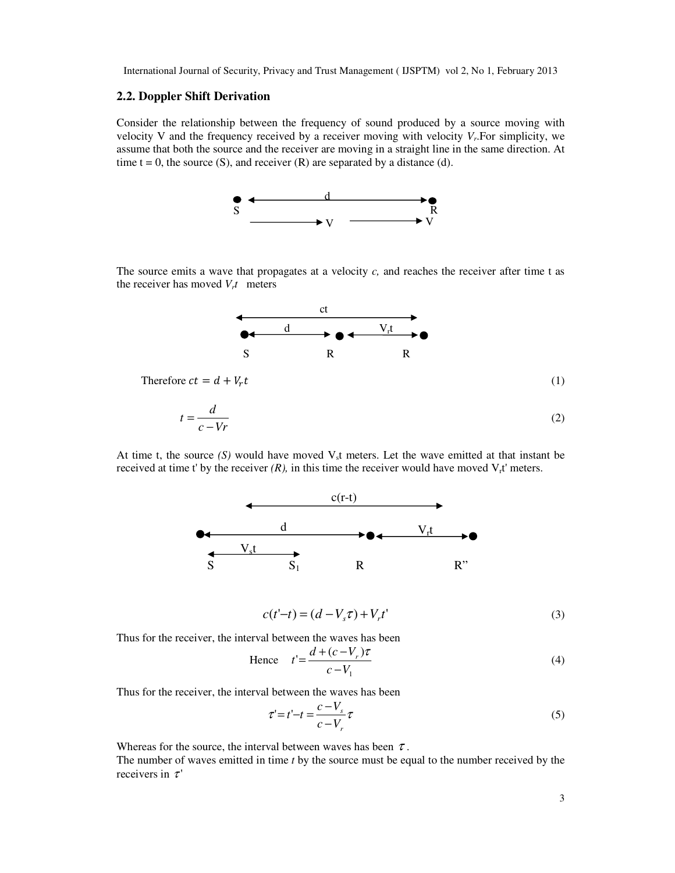#### **2.2. Doppler Shift Derivation**

Consider the relationship between the frequency of sound produced by a source moving with velocity V and the frequency received by a receiver moving with velocity *V<sup>r</sup>* .For simplicity, we assume that both the source and the receiver are moving in a straight line in the same direction. At time  $t = 0$ , the source (S), and receiver (R) are separated by a distance (d).



The source emits a wave that propagates at a velocity *c,* and reaches the receiver after time t as the receiver has moved  $V_t t$  meters



Therefore  $ct = d + V_r t$ 

$$
\mathcal{L}^{\mathcal{L}}
$$

$$
t = \frac{d}{c - Vr} \tag{2}
$$

At time t, the source  $(S)$  would have moved  $V<sub>s</sub>$ t meters. Let the wave emitted at that instant be received at time t' by the receiver  $(R)$ , in this time the receiver would have moved  $V_t$ t' meters.



$$
c(t'-t) = (d - V_s \tau) + V_r t'
$$
\n(3)

Thus for the receiver, the interval between the waves has been

Hence 
$$
t' = \frac{d + (c - V_r)\tau}{c - V_1}
$$
 (4)

Thus for the receiver, the interval between the waves has been

$$
\tau' = t' - t = \frac{c - V_s}{c - V_r} \tau
$$
\n<sup>(5)</sup>

Whereas for the source, the interval between waves has been  $\tau$ .

The number of waves emitted in time *t* by the source must be equal to the number received by the receivers in  $\tau'$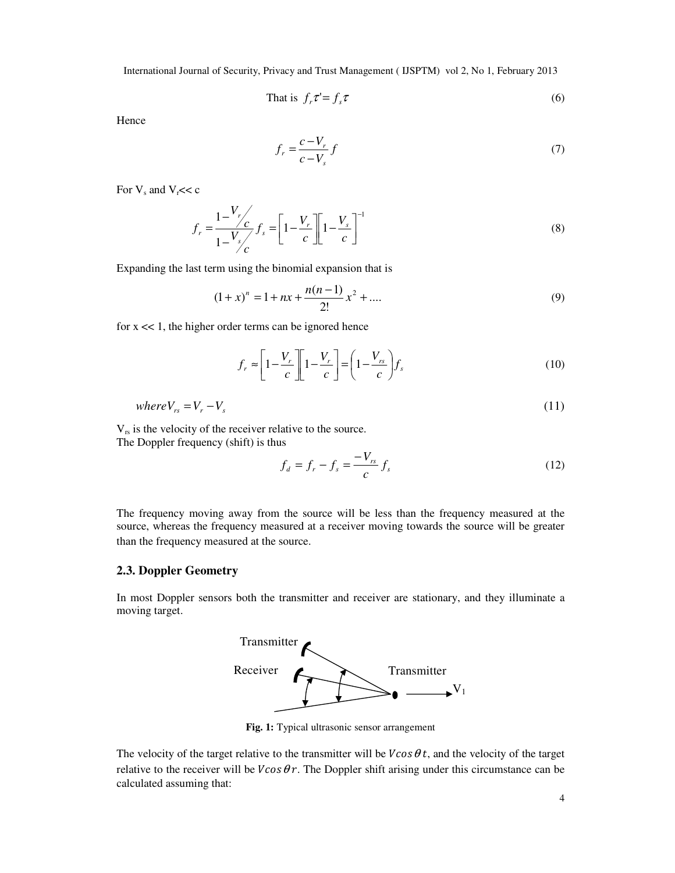That is 
$$
f_r \tau' = f_s \tau
$$
 (6)

**Hence** 

$$
f_r = \frac{c - V_r}{c - V_s} f \tag{7}
$$

For  $V_s$  and  $V_r << c$ 

$$
f_r = \frac{1 - \frac{V_r}{c}}{1 - \frac{V_s}{c}} f_s = \left[ 1 - \frac{V_r}{c} \right] \left[ 1 - \frac{V_s}{c} \right]^{-1}
$$
(8)

Expanding the last term using the binomial expansion that is

$$
(1+x)^n = 1 + nx + \frac{n(n-1)}{2!}x^2 + \dots
$$
 (9)

for  $x \ll 1$ , the higher order terms can be ignored hence

$$
f_r \approx \left[1 - \frac{V_r}{c}\right] \left[1 - \frac{V_r}{c}\right] = \left(1 - \frac{V_{rs}}{c}\right) f_s \tag{10}
$$

$$
where V_{rs} = V_r - V_s \tag{11}
$$

 $V_{rs}$  is the velocity of the receiver relative to the source. The Doppler frequency (shift) is thus

$$
f_d = f_r - f_s = \frac{-V_{rs}}{c} f_s
$$
 (12)

The frequency moving away from the source will be less than the frequency measured at the source, whereas the frequency measured at a receiver moving towards the source will be greater than the frequency measured at the source.

# **2.3. Doppler Geometry**

In most Doppler sensors both the transmitter and receiver are stationary, and they illuminate a moving target.



**Fig. 1:** Typical ultrasonic sensor arrangement

The velocity of the target relative to the transmitter will be  $V\cos\theta t$ , and the velocity of the target relative to the receiver will be  $V\cos\theta r$ . The Doppler shift arising under this circumstance can be calculated assuming that: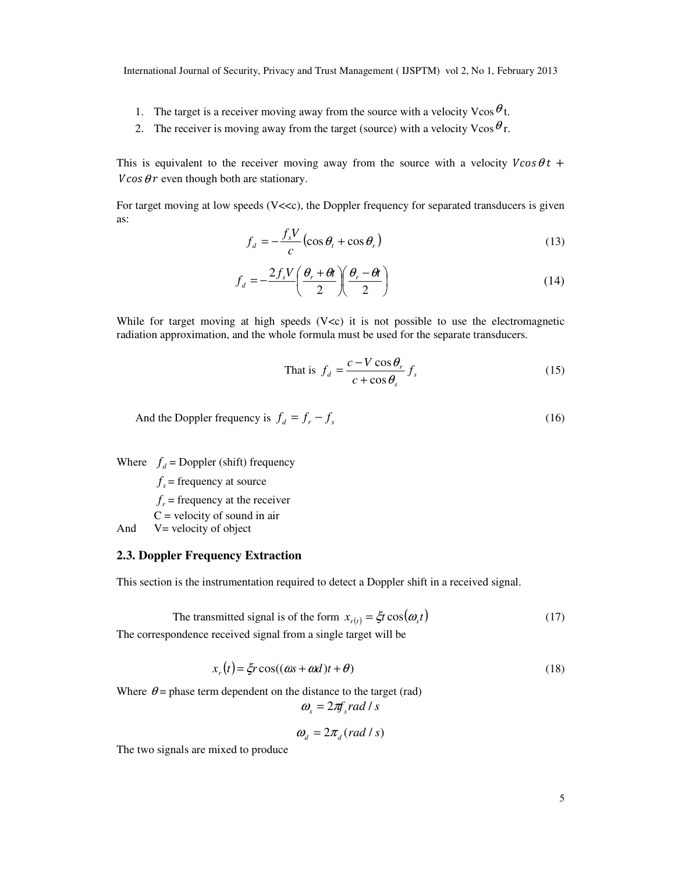- 1. The target is a receiver moving away from the source with a velocity Vcos  $\theta_t$ .
- 2. The receiver is moving away from the target (source) with a velocity  $V\cos\theta r$ .

This is equivalent to the receiver moving away from the source with a velocity  $V\cos\theta t$  +  $V \cos \theta r$  even though both are stationary.

For target moving at low speeds (V<<c), the Doppler frequency for separated transducers is given as:

$$
f_d = -\frac{f_s V}{c} \left( \cos \theta_t + \cos \theta_r \right) \tag{13}
$$

$$
f_d = -\frac{2f_s V}{2} \left( \frac{\theta_r + \theta t}{2} \right) \left( \frac{\theta_r - \theta t}{2} \right)
$$
 (14)

While for target moving at high speeds  $(V < c)$  it is not possible to use the electromagnetic radiation approximation, and the whole formula must be used for the separate transducers.

That is 
$$
f_d = \frac{c - V \cos \theta_r}{c + \cos \theta_s} f_s
$$
 (15)

And the Doppler frequency is 
$$
f_d = f_r - f_s
$$
 (16)

Where  $f_d$  = Doppler (shift) frequency

 $f<sub>s</sub>$  = frequency at source

 $f_r$  = frequency at the receiver

 $C$  = velocity of sound in air

And V= velocity of object

#### **2.3. Doppler Frequency Extraction**

This section is the instrumentation required to detect a Doppler shift in a received signal.

The transmitted signal is of the form 
$$
x_{r(t)} = \xi t \cos(\omega_s t)
$$
 (17)

The correspondence received signal from a single target will be

$$
x_r(t) = \xi r \cos((\omega s + \omega d)t + \theta) \tag{18}
$$

Where  $\theta$  = phase term dependent on the distance to the target (rad)

$$
\omega_s = 2\pi f_s rad / s
$$

$$
\omega_d = 2\pi_d (rad/s)
$$

The two signals are mixed to produce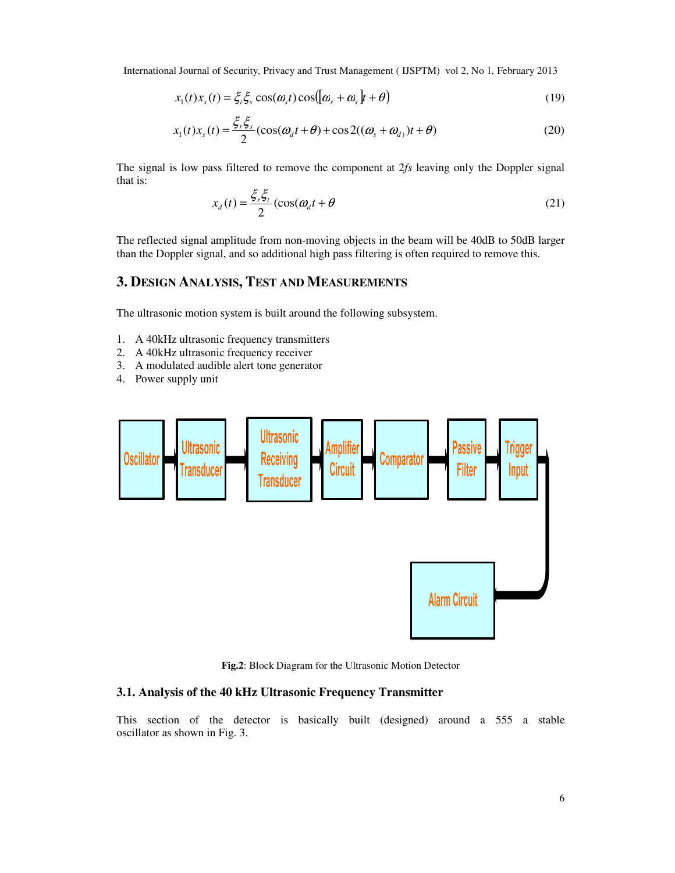$$
x_1(t)x_s(t) = \xi_t \xi_s \cos(\omega_s t) \cos([\omega_s + \omega_s]t + \theta)
$$
\n(19)

$$
x_1(t)x_s(t) = \frac{\xi_r \xi_s}{2} (\cos(\omega_d t + \theta) + \cos 2((\omega_s + \omega_d)t + \theta)
$$
 (20)

The signal is low pass filtered to remove the component at 2*fs* leaving only the Doppler signal that is:

$$
x_d(t) = \frac{\xi_r \xi_t}{2} \left( \cos(\omega_d t + \theta) \right)
$$
 (21)

The reflected signal amplitude from non-moving objects in the beam will be 40dB to 50dB larger than the Doppler signal, and so additional high pass filtering is often required to remove this.

# **3. DESIGN ANALYSIS, TEST AND MEASUREMENTS**

The ultrasonic motion system is built around the following subsystem.

- 1. A 40kHz ultrasonic frequency transmitters
- 2. A 40kHz ultrasonic frequency receiver
- 3. A modulated audible alert tone generator
- 4. Power supply unit



**Fig.2**: Block Diagram for the Ultrasonic Motion Detector

# **3.1. Analysis of the 40 kHz Ultrasonic Frequency Transmitter**

This section of the detector is basically built (designed) around a 555 a stable oscillator as shown in Fig. 3.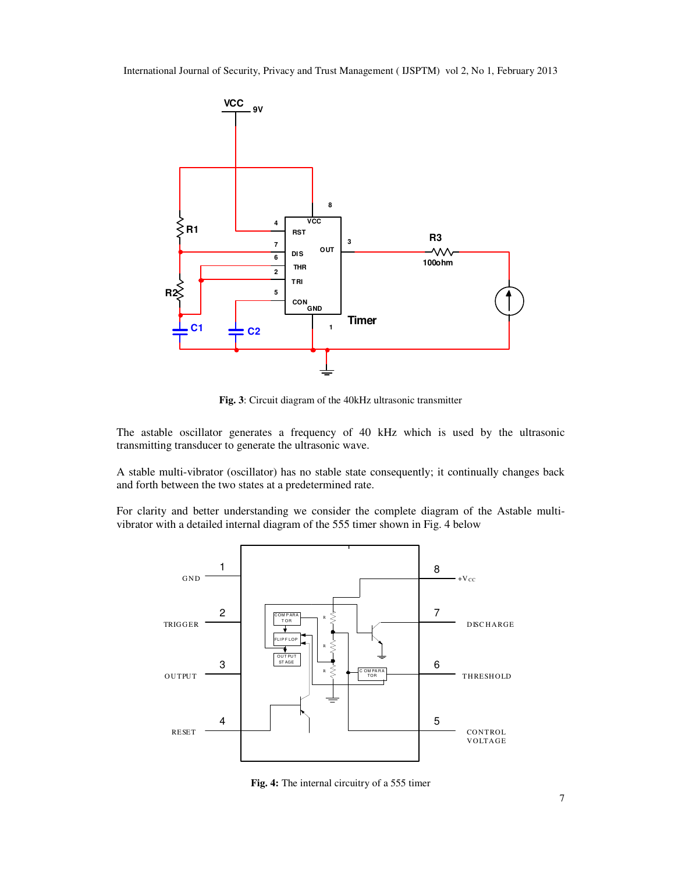

**Fig. 3**: Circuit diagram of the 40kHz ultrasonic transmitter

The astable oscillator generates a frequency of 40 kHz which is used by the ultrasonic transmitting transducer to generate the ultrasonic wave.

A stable multi-vibrator (oscillator) has no stable state consequently; it continually changes back and forth between the two states at a predetermined rate.

For clarity and better understanding we consider the complete diagram of the Astable multivibrator with a detailed internal diagram of the 555 timer shown in Fig. 4 below



**Fig. 4:** The internal circuitry of a 555 timer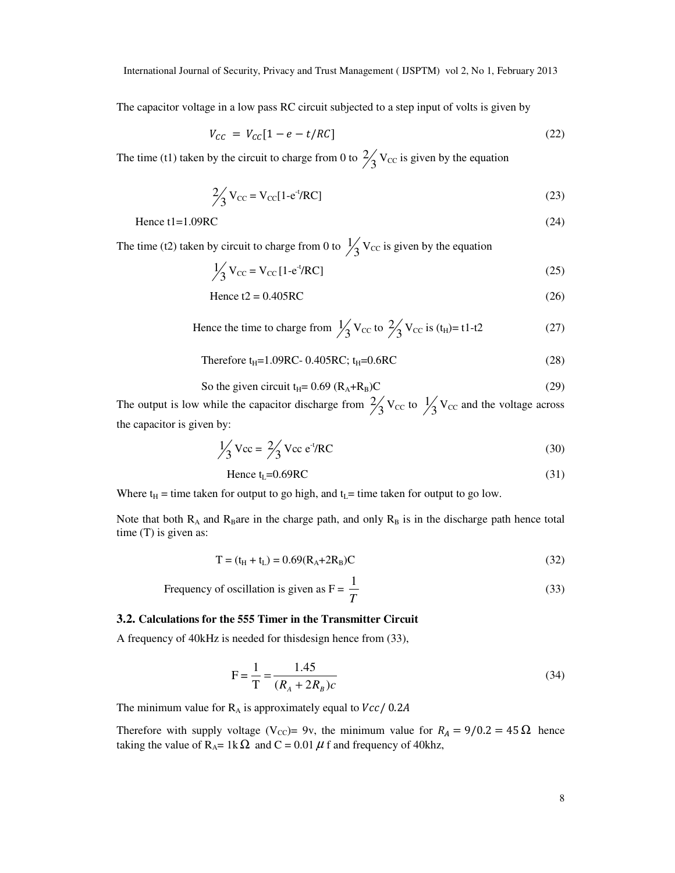The capacitor voltage in a low pass RC circuit subjected to a step input of volts is given by

$$
V_{CC} = V_{CC}[1 - e - t/RC] \tag{22}
$$

The time (t1) taken by the circuit to charge from 0 to  $\frac{2}{3}V_{\text{CC}}$  is given by the equation

$$
\frac{2}{3}V_{\text{CC}} = V_{\text{CC}}[1 - e^{-t}/RC]
$$
\n(23)

$$
Hence t1 = 1.09RC
$$
 (24)

The time (t2) taken by circuit to charge from 0 to  $\frac{1}{3}V_{\text{CC}}$  is given by the equation

$$
\frac{1}{3}V_{\text{CC}} = V_{\text{CC}}[1 - e^{-t}/RC]
$$
\n(25)

$$
Hence t2 = 0.405RC
$$
\n<sup>(26)</sup>

Hence the time to charge from 
$$
\frac{1}{3}V_{\text{CC}}
$$
 to  $\frac{2}{3}V_{\text{CC}}$  is  $(t_{\text{H}})=t1-t2$  (27)

Therefore 
$$
t_H
$$
 = 1.09RC - 0.405RC;  $t_H$  = 0.6RC  $(28)$ 

So the given circuit 
$$
t_H
$$
 = 0.69  $(R_A + R_B)C$  (29)

The output is low while the capacitor discharge from  $\frac{2}{3}V_{\text{CC}}$  to  $\frac{1}{3}V_{\text{CC}}$  and the voltage across the capacitor is given by:

$$
\frac{1}{3} \text{Vec} = \frac{2}{3} \text{Vec} \, \text{e}^{-t} / \text{RC} \tag{30}
$$

$$
Hence tL=0.69RC
$$
 (31)

Where  $t_H$  = time taken for output to go high, and  $t_L$ = time taken for output to go low.

Note that both  $R_A$  and  $R_B$ are in the charge path, and only  $R_B$  is in the discharge path hence total time (T) is given as:

$$
T = (t_H + t_L) = 0.69(R_A + 2R_B)C
$$
\n(32)

Frequency of oscillation is given as 
$$
F = \frac{1}{T}
$$
 (33)

## **3.2. Calculations for the 555 Timer in the Transmitter Circuit**

A frequency of 40kHz is needed for thisdesign hence from (33),

$$
F = \frac{1}{T} = \frac{1.45}{(R_A + 2R_B)c}
$$
(34)

The minimum value for  $R_A$  is approximately equal to  $Vcc/$  0.2A

Therefore with supply voltage (V<sub>CC</sub>)= 9v, the minimum value for  $R_A = 9/0.2 = 45 \Omega$  hence taking the value of R<sub>A</sub>= 1k  $\Omega$  and C = 0.01  $\mu$  f and frequency of 40khz,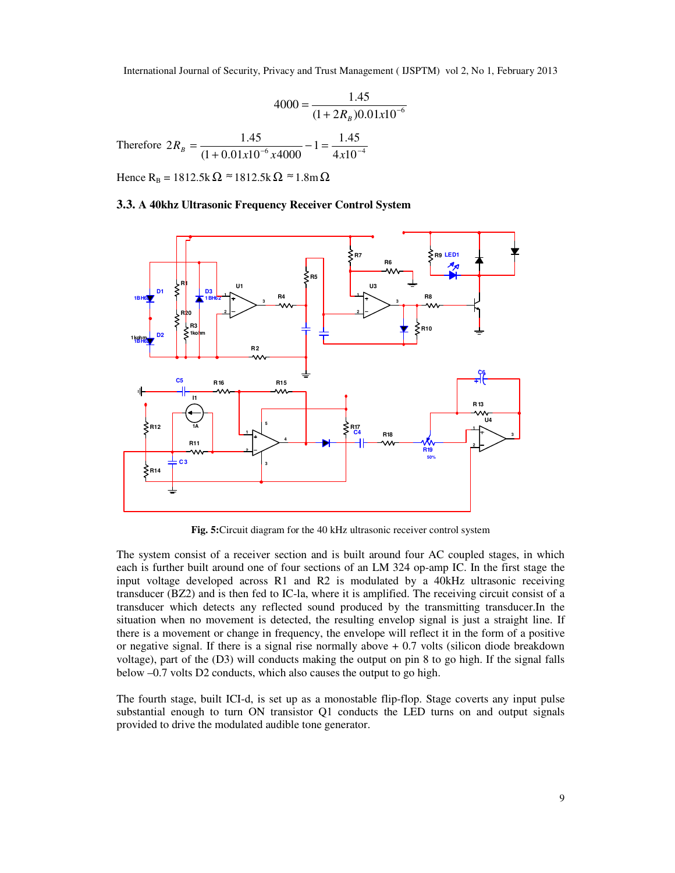$$
4000 = \frac{1.45}{(1 + 2R_B)0.01x10^{-6}}
$$
  
Therefore  $2R_B = \frac{1.45}{(1 + 0.01x10^{-6}x4000)} - 1 = \frac{1.45}{4x10^{-4}}$ 

Hence  $R_B = 1812.5k\Omega \approx 1812.5k\Omega \approx 1.8m\Omega$ 

#### **3.3. A 40khz Ultrasonic Frequency Receiver Control System**



**Fig. 5:**Circuit diagram for the 40 kHz ultrasonic receiver control system

The system consist of a receiver section and is built around four AC coupled stages, in which each is further built around one of four sections of an LM 324 op-amp IC. In the first stage the input voltage developed across R1 and R2 is modulated by a 40kHz ultrasonic receiving transducer (BZ2) and is then fed to IC-la, where it is amplified. The receiving circuit consist of a transducer which detects any reflected sound produced by the transmitting transducer.In the situation when no movement is detected, the resulting envelop signal is just a straight line. If there is a movement or change in frequency, the envelope will reflect it in the form of a positive or negative signal. If there is a signal rise normally above  $+0.7$  volts (silicon diode breakdown voltage), part of the (D3) will conducts making the output on pin 8 to go high. If the signal falls below –0.7 volts D2 conducts, which also causes the output to go high.

The fourth stage, built ICI-d, is set up as a monostable flip-flop. Stage coverts any input pulse substantial enough to turn ON transistor Q1 conducts the LED turns on and output signals provided to drive the modulated audible tone generator.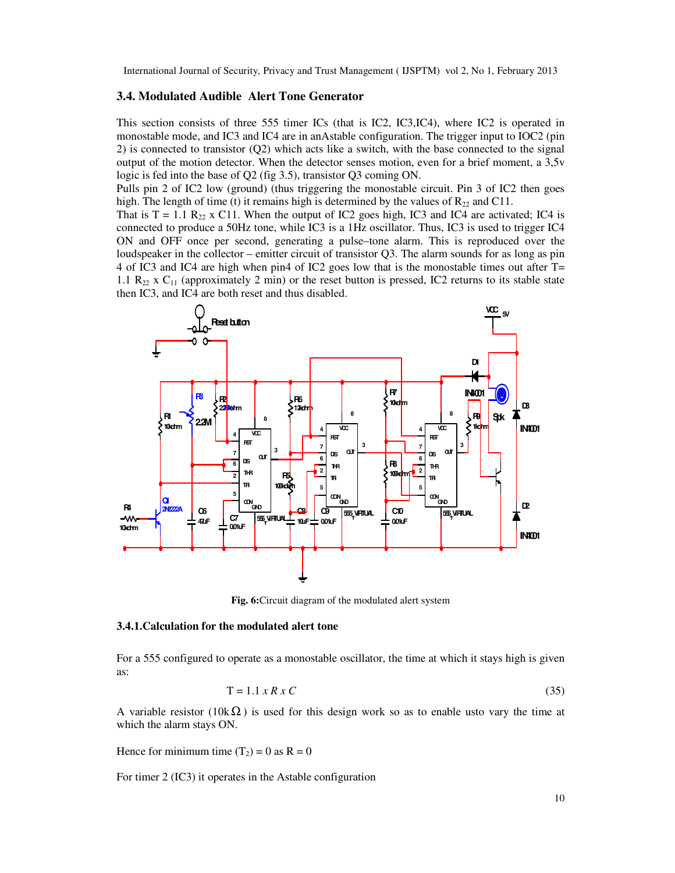#### **3.4. Modulated Audible Alert Tone Generator**

This section consists of three 555 timer ICs (that is IC2, IC3,IC4), where IC2 is operated in monostable mode, and IC3 and IC4 are in anAstable configuration. The trigger input to IOC2 (pin 2) is connected to transistor (Q2) which acts like a switch, with the base connected to the signal output of the motion detector. When the detector senses motion, even for a brief moment, a 3,5v logic is fed into the base of Q2 (fig 3.5), transistor Q3 coming ON.

Pulls pin 2 of IC2 low (ground) (thus triggering the monostable circuit. Pin 3 of IC2 then goes high. The length of time (t) it remains high is determined by the values of  $R_{22}$  and C11.

That is  $T = 1.1$  R<sub>22</sub> x C11. When the output of IC2 goes high, IC3 and IC4 are activated; IC4 is connected to produce a 50Hz tone, while IC3 is a 1Hz oscillator. Thus, IC3 is used to trigger IC4 ON and OFF once per second, generating a pulse–tone alarm. This is reproduced over the loudspeaker in the collector – emitter circuit of transistor Q3. The alarm sounds for as long as pin 4 of IC3 and IC4 are high when pin4 of IC2 goes low that is the monostable times out after T= 1.1  $R_{22}$  x  $C_{11}$  (approximately 2 min) or the reset button is pressed, IC2 returns to its stable state then IC3, and IC4 are both reset and thus disabled.



**Fig. 6:**Circuit diagram of the modulated alert system

#### **3.4.1.Calculation for the modulated alert tone**

For a 555 configured to operate as a monostable oscillator, the time at which it stays high is given as:

$$
T = 1.1 \times R \times C \tag{35}
$$

A variable resistor (10k $\Omega$ ) is used for this design work so as to enable usto vary the time at which the alarm stays ON.

Hence for minimum time  $(T_2) = 0$  as  $R = 0$ 

For timer 2 (IC3) it operates in the Astable configuration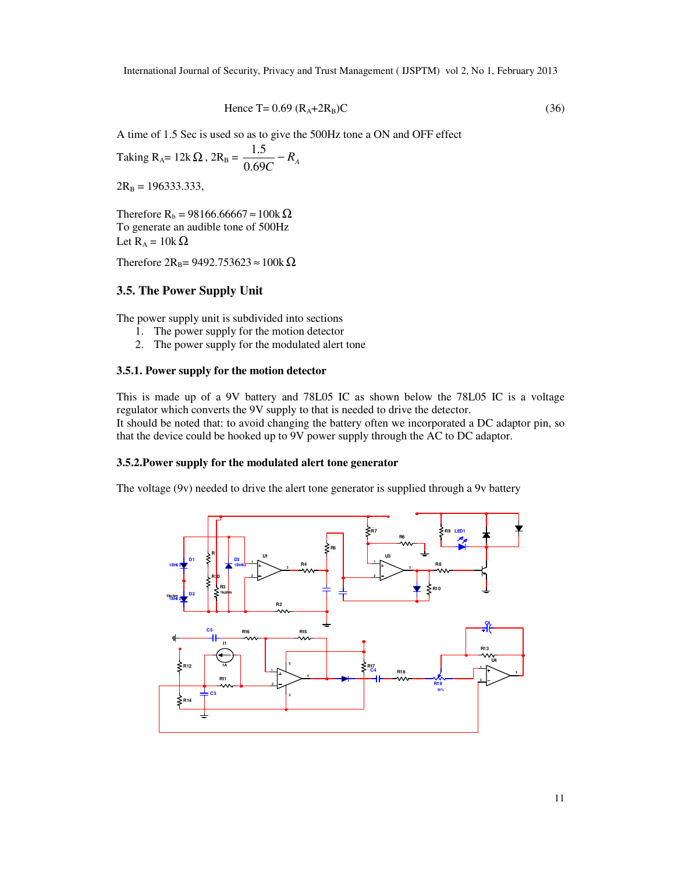$$
Hence T = 0.69 (R_A + 2R_B)C
$$
\n
$$
(36)
$$

A time of 1.5 Sec is used so as to give the 500Hz tone a ON and OFF effect

Taking  $R_A = 12k\Omega$ ,  $2R_B = \frac{1.5}{0.69C} - R_A$ − 0.69 5.1

 $2R_B = 196333.333$ ,

Therefore R<sub>b</sub> = 98166.66667  $\approx$  100k  $\Omega$ To generate an audible tone of 500Hz Let  $R_A = 10k\Omega$ 

Therefore  $2R_B$ = 9492.753623 ≈ 100k $\Omega$ 

# **3.5. The Power Supply Unit**

The power supply unit is subdivided into sections

- 1. The power supply for the motion detector
- 2. The power supply for the modulated alert tone

#### **3.5.1. Power supply for the motion detector**

This is made up of a 9V battery and 78L05 IC as shown below the 78L05 IC is a voltage regulator which converts the 9V supply to that is needed to drive the detector. It should be noted that: to avoid changing the battery often we incorporated a DC adaptor pin, so that the device could be hooked up to 9V power supply through the AC to DC adaptor.

#### **3.5.2.Power supply for the modulated alert tone generator**

The voltage (9v) needed to drive the alert tone generator is supplied through a 9v battery

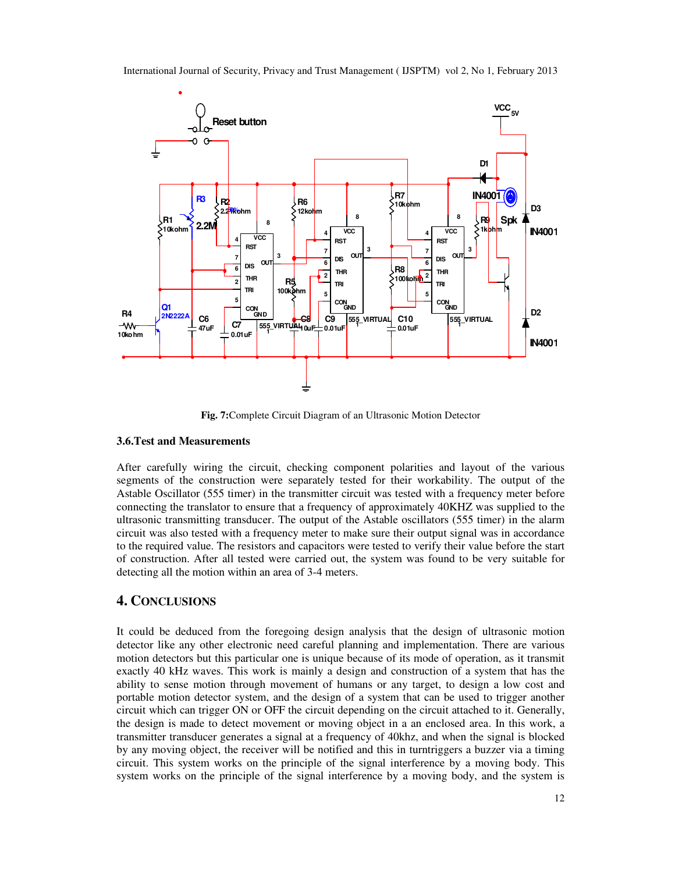

**Fig. 7:**Complete Circuit Diagram of an Ultrasonic Motion Detector

#### **3.6.Test and Measurements**

After carefully wiring the circuit, checking component polarities and layout of the various segments of the construction were separately tested for their workability. The output of the Astable Oscillator (555 timer) in the transmitter circuit was tested with a frequency meter before connecting the translator to ensure that a frequency of approximately 40KHZ was supplied to the ultrasonic transmitting transducer. The output of the Astable oscillators (555 timer) in the alarm circuit was also tested with a frequency meter to make sure their output signal was in accordance to the required value. The resistors and capacitors were tested to verify their value before the start of construction. After all tested were carried out, the system was found to be very suitable for detecting all the motion within an area of 3-4 meters.

# **4. CONCLUSIONS**

It could be deduced from the foregoing design analysis that the design of ultrasonic motion detector like any other electronic need careful planning and implementation. There are various motion detectors but this particular one is unique because of its mode of operation, as it transmit exactly 40 kHz waves. This work is mainly a design and construction of a system that has the ability to sense motion through movement of humans or any target, to design a low cost and portable motion detector system, and the design of a system that can be used to trigger another circuit which can trigger ON or OFF the circuit depending on the circuit attached to it. Generally, the design is made to detect movement or moving object in a an enclosed area. In this work, a transmitter transducer generates a signal at a frequency of 40khz, and when the signal is blocked by any moving object, the receiver will be notified and this in turntriggers a buzzer via a timing circuit. This system works on the principle of the signal interference by a moving body. This system works on the principle of the signal interference by a moving body, and the system is